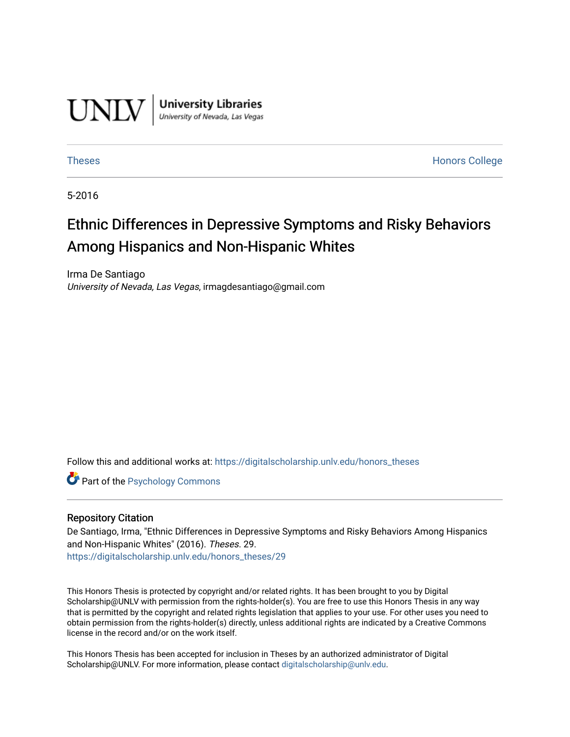

**University Libraries**<br>University of Nevada, Las Vegas

[Theses](https://digitalscholarship.unlv.edu/honors_theses) **Honors College** [Honors College](https://digitalscholarship.unlv.edu/honors) **Honors College** 

5-2016

# Ethnic Differences in Depressive Symptoms and Risky Behaviors Among Hispanics and Non-Hispanic Whites

Irma De Santiago University of Nevada, Las Vegas, irmagdesantiago@gmail.com

Follow this and additional works at: [https://digitalscholarship.unlv.edu/honors\\_theses](https://digitalscholarship.unlv.edu/honors_theses?utm_source=digitalscholarship.unlv.edu%2Fhonors_theses%2F29&utm_medium=PDF&utm_campaign=PDFCoverPages) 

**Part of the Psychology Commons** 

## Repository Citation

De Santiago, Irma, "Ethnic Differences in Depressive Symptoms and Risky Behaviors Among Hispanics and Non-Hispanic Whites" (2016). Theses. 29. [https://digitalscholarship.unlv.edu/honors\\_theses/29](https://digitalscholarship.unlv.edu/honors_theses/29?utm_source=digitalscholarship.unlv.edu%2Fhonors_theses%2F29&utm_medium=PDF&utm_campaign=PDFCoverPages)

This Honors Thesis is protected by copyright and/or related rights. It has been brought to you by Digital Scholarship@UNLV with permission from the rights-holder(s). You are free to use this Honors Thesis in any way that is permitted by the copyright and related rights legislation that applies to your use. For other uses you need to obtain permission from the rights-holder(s) directly, unless additional rights are indicated by a Creative Commons license in the record and/or on the work itself.

This Honors Thesis has been accepted for inclusion in Theses by an authorized administrator of Digital Scholarship@UNLV. For more information, please contact [digitalscholarship@unlv.edu.](mailto:digitalscholarship@unlv.edu)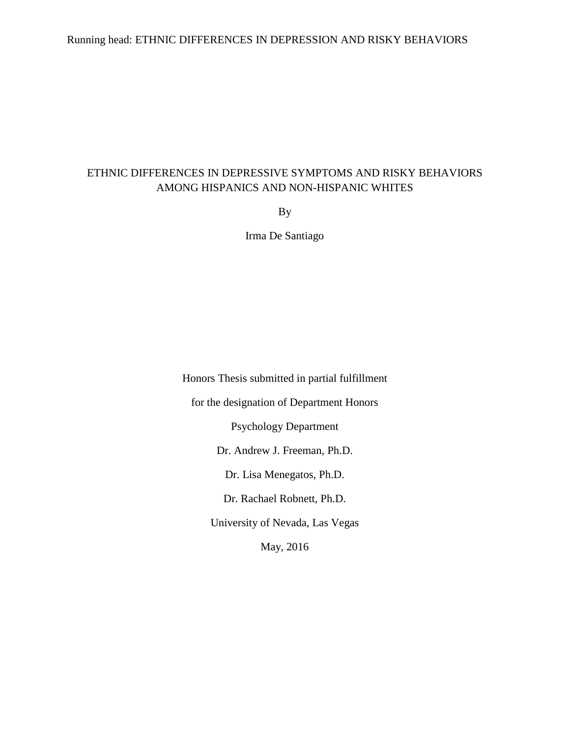## Running head: ETHNIC DIFFERENCES IN DEPRESSION AND RISKY BEHAVIORS

## ETHNIC DIFFERENCES IN DEPRESSIVE SYMPTOMS AND RISKY BEHAVIORS AMONG HISPANICS AND NON-HISPANIC WHITES

By

Irma De Santiago

Honors Thesis submitted in partial fulfillment for the designation of Department Honors Psychology Department Dr. Andrew J. Freeman, Ph.D. Dr. Lisa Menegatos, Ph.D. Dr. Rachael Robnett, Ph.D. University of Nevada, Las Vegas May, 2016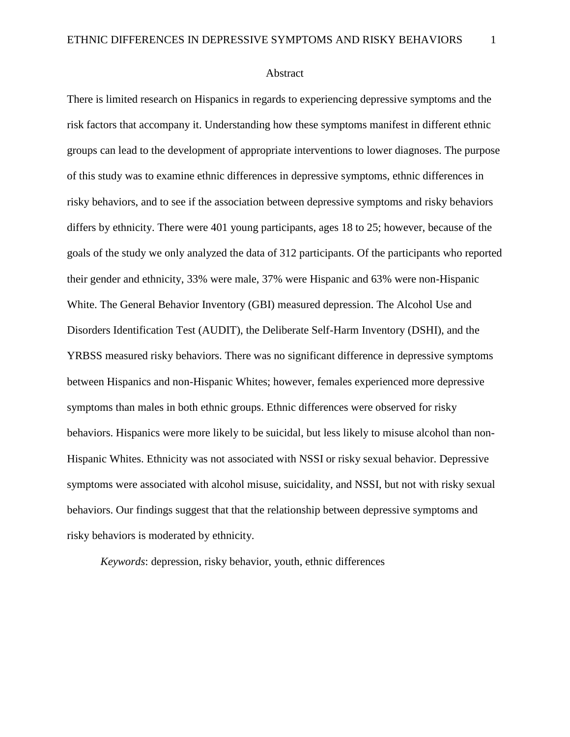Abstract

There is limited research on Hispanics in regards to experiencing depressive symptoms and the risk factors that accompany it. Understanding how these symptoms manifest in different ethnic groups can lead to the development of appropriate interventions to lower diagnoses. The purpose of this study was to examine ethnic differences in depressive symptoms, ethnic differences in risky behaviors, and to see if the association between depressive symptoms and risky behaviors differs by ethnicity. There were 401 young participants, ages 18 to 25; however, because of the goals of the study we only analyzed the data of 312 participants. Of the participants who reported their gender and ethnicity, 33% were male, 37% were Hispanic and 63% were non-Hispanic White. The General Behavior Inventory (GBI) measured depression. The Alcohol Use and Disorders Identification Test (AUDIT), the Deliberate Self-Harm Inventory (DSHI), and the YRBSS measured risky behaviors. There was no significant difference in depressive symptoms between Hispanics and non-Hispanic Whites; however, females experienced more depressive symptoms than males in both ethnic groups. Ethnic differences were observed for risky behaviors. Hispanics were more likely to be suicidal, but less likely to misuse alcohol than non-Hispanic Whites. Ethnicity was not associated with NSSI or risky sexual behavior. Depressive symptoms were associated with alcohol misuse, suicidality, and NSSI, but not with risky sexual behaviors. Our findings suggest that that the relationship between depressive symptoms and risky behaviors is moderated by ethnicity.

*Keywords*: depression, risky behavior, youth, ethnic differences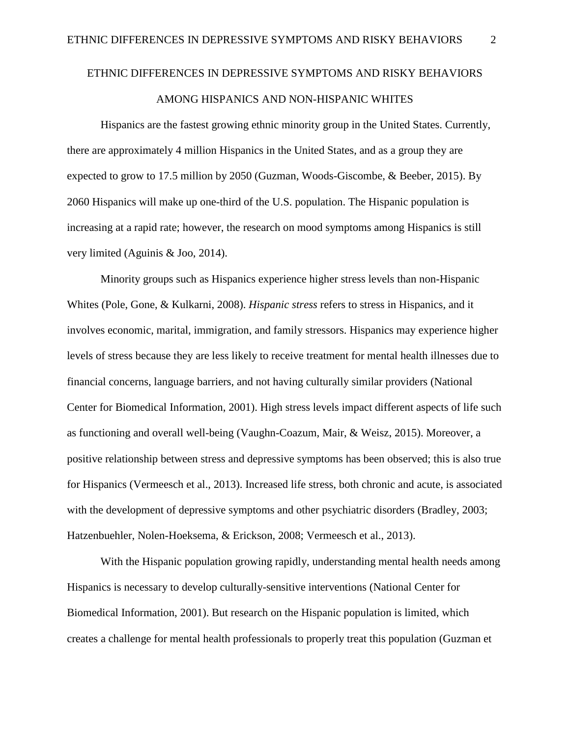# ETHNIC DIFFERENCES IN DEPRESSIVE SYMPTOMS AND RISKY BEHAVIORS AMONG HISPANICS AND NON-HISPANIC WHITES

Hispanics are the fastest growing ethnic minority group in the United States. Currently, there are approximately 4 million Hispanics in the United States, and as a group they are expected to grow to 17.5 million by 2050 (Guzman, Woods-Giscombe, & Beeber, 2015). By 2060 Hispanics will make up one-third of the U.S. population. The Hispanic population is increasing at a rapid rate; however, the research on mood symptoms among Hispanics is still very limited (Aguinis & Joo, 2014).

Minority groups such as Hispanics experience higher stress levels than non-Hispanic Whites (Pole, Gone, & Kulkarni, 2008). *Hispanic stress* refers to stress in Hispanics, and it involves economic, marital, immigration, and family stressors. Hispanics may experience higher levels of stress because they are less likely to receive treatment for mental health illnesses due to financial concerns, language barriers, and not having culturally similar providers (National Center for Biomedical Information, 2001). High stress levels impact different aspects of life such as functioning and overall well-being (Vaughn-Coazum, Mair, & Weisz, 2015). Moreover, a positive relationship between stress and depressive symptoms has been observed; this is also true for Hispanics (Vermeesch et al., 2013). Increased life stress, both chronic and acute, is associated with the development of depressive symptoms and other psychiatric disorders (Bradley, 2003; Hatzenbuehler, Nolen-Hoeksema, & Erickson, 2008; Vermeesch et al., 2013).

With the Hispanic population growing rapidly, understanding mental health needs among Hispanics is necessary to develop culturally-sensitive interventions (National Center for Biomedical Information, 2001). But research on the Hispanic population is limited, which creates a challenge for mental health professionals to properly treat this population (Guzman et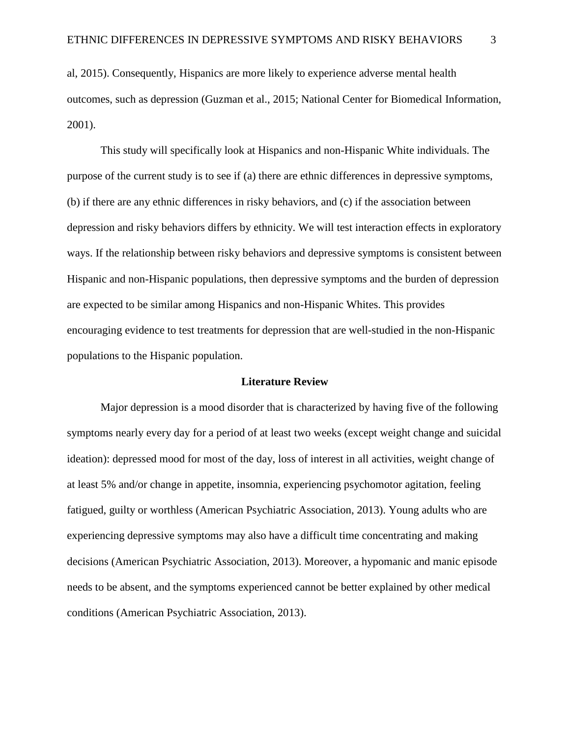al, 2015). Consequently, Hispanics are more likely to experience adverse mental health outcomes, such as depression (Guzman et al., 2015; National Center for Biomedical Information, 2001).

This study will specifically look at Hispanics and non-Hispanic White individuals. The purpose of the current study is to see if (a) there are ethnic differences in depressive symptoms, (b) if there are any ethnic differences in risky behaviors, and (c) if the association between depression and risky behaviors differs by ethnicity. We will test interaction effects in exploratory ways. If the relationship between risky behaviors and depressive symptoms is consistent between Hispanic and non-Hispanic populations, then depressive symptoms and the burden of depression are expected to be similar among Hispanics and non-Hispanic Whites. This provides encouraging evidence to test treatments for depression that are well-studied in the non-Hispanic populations to the Hispanic population.

#### **Literature Review**

Major depression is a mood disorder that is characterized by having five of the following symptoms nearly every day for a period of at least two weeks (except weight change and suicidal ideation): depressed mood for most of the day, loss of interest in all activities, weight change of at least 5% and/or change in appetite, insomnia, experiencing psychomotor agitation, feeling fatigued, guilty or worthless (American Psychiatric Association, 2013). Young adults who are experiencing depressive symptoms may also have a difficult time concentrating and making decisions (American Psychiatric Association, 2013). Moreover, a hypomanic and manic episode needs to be absent, and the symptoms experienced cannot be better explained by other medical conditions (American Psychiatric Association, 2013).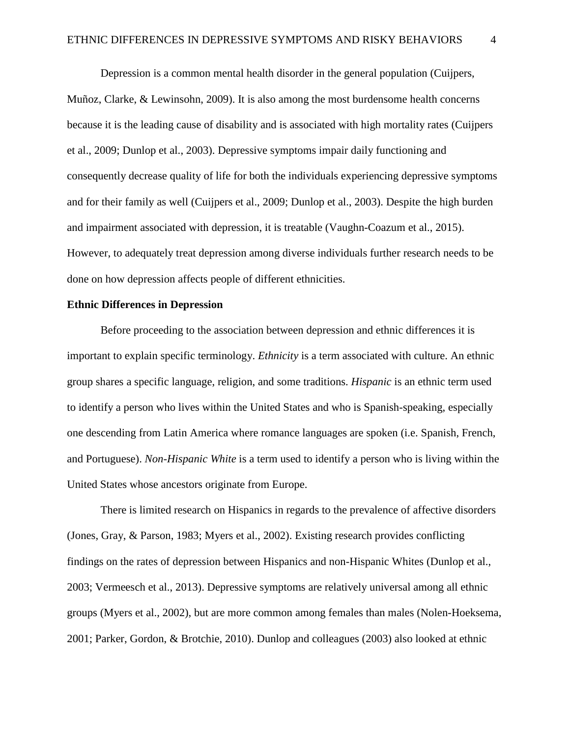Depression is a common mental health disorder in the general population (Cuijpers, Muñoz, Clarke, & Lewinsohn, 2009). It is also among the most burdensome health concerns because it is the leading cause of disability and is associated with high mortality rates (Cuijpers et al., 2009; Dunlop et al., 2003). Depressive symptoms impair daily functioning and consequently decrease quality of life for both the individuals experiencing depressive symptoms and for their family as well (Cuijpers et al., 2009; Dunlop et al., 2003). Despite the high burden and impairment associated with depression, it is treatable (Vaughn-Coazum et al., 2015). However, to adequately treat depression among diverse individuals further research needs to be done on how depression affects people of different ethnicities.

## **Ethnic Differences in Depression**

Before proceeding to the association between depression and ethnic differences it is important to explain specific terminology. *Ethnicity* is a term associated with culture. An ethnic group shares a specific language, religion, and some traditions. *Hispanic* is an ethnic term used to identify a person who lives within the United States and who is Spanish-speaking, especially one descending from Latin America where romance languages are spoken (i.e. Spanish, French, and Portuguese). *Non-Hispanic White* is a term used to identify a person who is living within the United States whose ancestors originate from Europe.

There is limited research on Hispanics in regards to the prevalence of affective disorders (Jones, Gray, & Parson, 1983; Myers et al., 2002). Existing research provides conflicting findings on the rates of depression between Hispanics and non-Hispanic Whites (Dunlop et al., 2003; Vermeesch et al., 2013). Depressive symptoms are relatively universal among all ethnic groups (Myers et al., 2002), but are more common among females than males (Nolen-Hoeksema, 2001; Parker, Gordon, & Brotchie, 2010). Dunlop and colleagues (2003) also looked at ethnic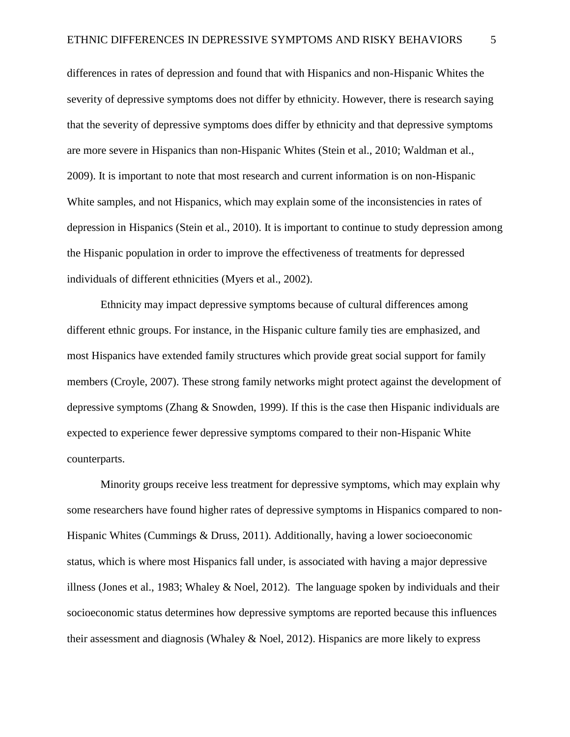differences in rates of depression and found that with Hispanics and non-Hispanic Whites the severity of depressive symptoms does not differ by ethnicity. However, there is research saying that the severity of depressive symptoms does differ by ethnicity and that depressive symptoms are more severe in Hispanics than non-Hispanic Whites (Stein et al., 2010; Waldman et al., 2009). It is important to note that most research and current information is on non-Hispanic White samples, and not Hispanics, which may explain some of the inconsistencies in rates of depression in Hispanics (Stein et al., 2010). It is important to continue to study depression among the Hispanic population in order to improve the effectiveness of treatments for depressed individuals of different ethnicities (Myers et al., 2002).

Ethnicity may impact depressive symptoms because of cultural differences among different ethnic groups. For instance, in the Hispanic culture family ties are emphasized, and most Hispanics have extended family structures which provide great social support for family members (Croyle, 2007). These strong family networks might protect against the development of depressive symptoms (Zhang & Snowden, 1999). If this is the case then Hispanic individuals are expected to experience fewer depressive symptoms compared to their non-Hispanic White counterparts.

Minority groups receive less treatment for depressive symptoms, which may explain why some researchers have found higher rates of depressive symptoms in Hispanics compared to non-Hispanic Whites (Cummings & Druss, 2011). Additionally, having a lower socioeconomic status, which is where most Hispanics fall under, is associated with having a major depressive illness (Jones et al., 1983; Whaley & Noel, 2012). The language spoken by individuals and their socioeconomic status determines how depressive symptoms are reported because this influences their assessment and diagnosis (Whaley & Noel, 2012). Hispanics are more likely to express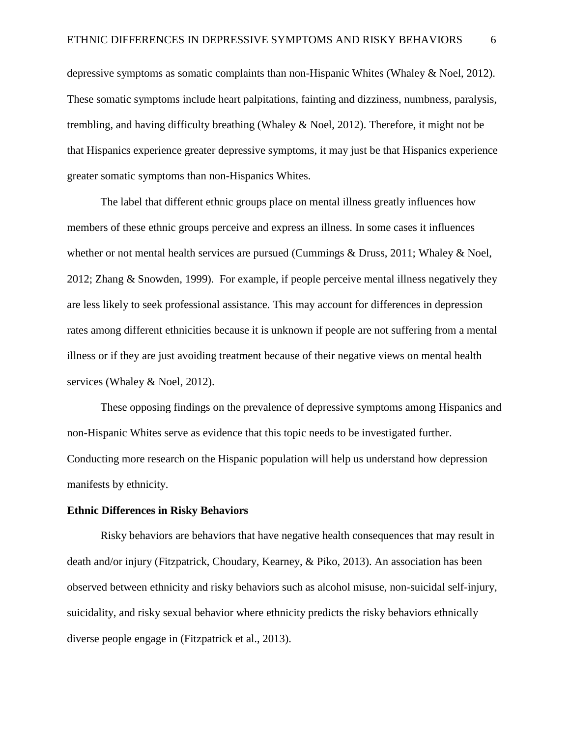depressive symptoms as somatic complaints than non-Hispanic Whites (Whaley & Noel, 2012). These somatic symptoms include heart palpitations, fainting and dizziness, numbness, paralysis, trembling, and having difficulty breathing (Whaley & Noel, 2012). Therefore, it might not be that Hispanics experience greater depressive symptoms, it may just be that Hispanics experience greater somatic symptoms than non-Hispanics Whites.

The label that different ethnic groups place on mental illness greatly influences how members of these ethnic groups perceive and express an illness. In some cases it influences whether or not mental health services are pursued (Cummings & Druss, 2011; Whaley & Noel, 2012; Zhang & Snowden, 1999). For example, if people perceive mental illness negatively they are less likely to seek professional assistance. This may account for differences in depression rates among different ethnicities because it is unknown if people are not suffering from a mental illness or if they are just avoiding treatment because of their negative views on mental health services (Whaley & Noel, 2012).

These opposing findings on the prevalence of depressive symptoms among Hispanics and non-Hispanic Whites serve as evidence that this topic needs to be investigated further. Conducting more research on the Hispanic population will help us understand how depression manifests by ethnicity.

#### **Ethnic Differences in Risky Behaviors**

Risky behaviors are behaviors that have negative health consequences that may result in death and/or injury (Fitzpatrick, Choudary, Kearney, & Piko, 2013). An association has been observed between ethnicity and risky behaviors such as alcohol misuse, non-suicidal self-injury, suicidality, and risky sexual behavior where ethnicity predicts the risky behaviors ethnically diverse people engage in (Fitzpatrick et al., 2013).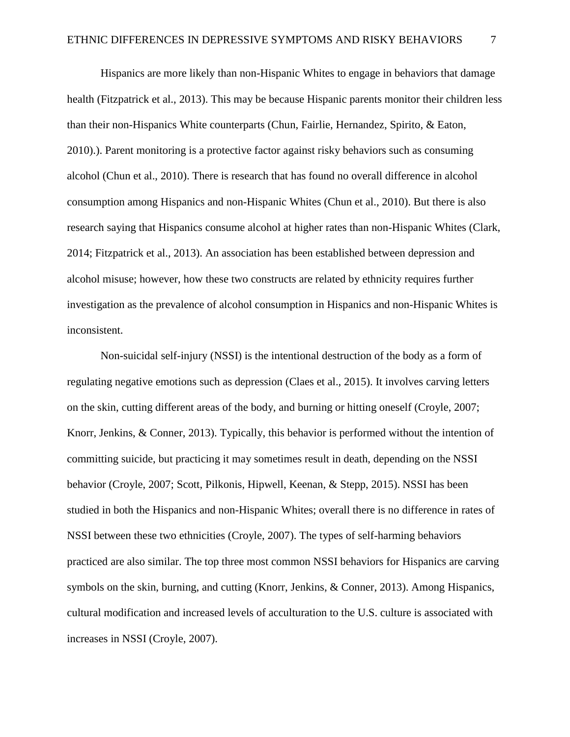Hispanics are more likely than non-Hispanic Whites to engage in behaviors that damage health (Fitzpatrick et al., 2013). This may be because Hispanic parents monitor their children less than their non-Hispanics White counterparts (Chun, Fairlie, Hernandez, Spirito, & Eaton, 2010).). Parent monitoring is a protective factor against risky behaviors such as consuming alcohol (Chun et al., 2010). There is research that has found no overall difference in alcohol consumption among Hispanics and non-Hispanic Whites (Chun et al., 2010). But there is also research saying that Hispanics consume alcohol at higher rates than non-Hispanic Whites (Clark, 2014; Fitzpatrick et al., 2013). An association has been established between depression and alcohol misuse; however, how these two constructs are related by ethnicity requires further investigation as the prevalence of alcohol consumption in Hispanics and non-Hispanic Whites is inconsistent.

Non-suicidal self-injury (NSSI) is the intentional destruction of the body as a form of regulating negative emotions such as depression (Claes et al., 2015). It involves carving letters on the skin, cutting different areas of the body, and burning or hitting oneself (Croyle, 2007; Knorr, Jenkins, & Conner, 2013). Typically, this behavior is performed without the intention of committing suicide, but practicing it may sometimes result in death, depending on the NSSI behavior (Croyle, 2007; Scott, Pilkonis, Hipwell, Keenan, & Stepp, 2015). NSSI has been studied in both the Hispanics and non-Hispanic Whites; overall there is no difference in rates of NSSI between these two ethnicities (Croyle, 2007). The types of self-harming behaviors practiced are also similar. The top three most common NSSI behaviors for Hispanics are carving symbols on the skin, burning, and cutting (Knorr, Jenkins, & Conner, 2013). Among Hispanics, cultural modification and increased levels of acculturation to the U.S. culture is associated with increases in NSSI (Croyle, 2007).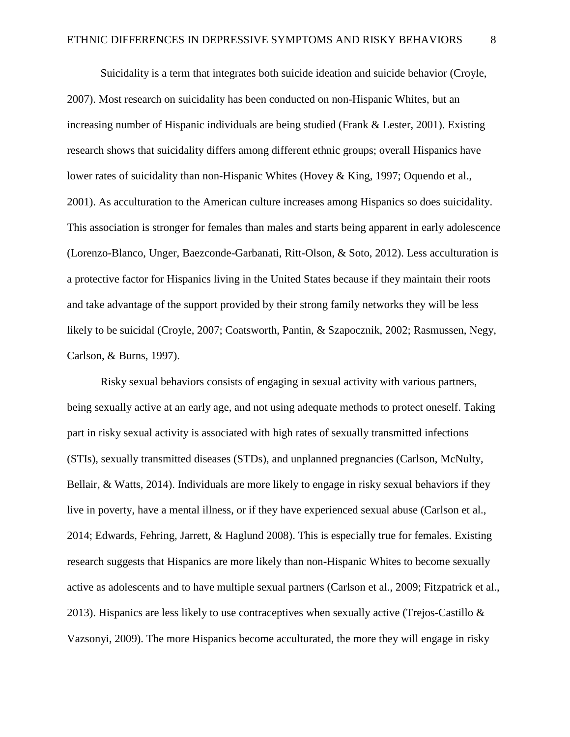Suicidality is a term that integrates both suicide ideation and suicide behavior (Croyle, 2007). Most research on suicidality has been conducted on non-Hispanic Whites, but an increasing number of Hispanic individuals are being studied (Frank & Lester, 2001). Existing research shows that suicidality differs among different ethnic groups; overall Hispanics have lower rates of suicidality than non-Hispanic Whites (Hovey & King, 1997; Oquendo et al., 2001). As acculturation to the American culture increases among Hispanics so does suicidality. This association is stronger for females than males and starts being apparent in early adolescence (Lorenzo-Blanco, Unger, Baezconde-Garbanati, Ritt-Olson, & Soto, 2012). Less acculturation is a protective factor for Hispanics living in the United States because if they maintain their roots and take advantage of the support provided by their strong family networks they will be less likely to be suicidal (Croyle, 2007; Coatsworth, Pantin, & Szapocznik, 2002; Rasmussen, Negy, Carlson, & Burns, 1997).

Risky sexual behaviors consists of engaging in sexual activity with various partners, being sexually active at an early age, and not using adequate methods to protect oneself. Taking part in risky sexual activity is associated with high rates of sexually transmitted infections (STIs), sexually transmitted diseases (STDs), and unplanned pregnancies (Carlson, McNulty, Bellair, & Watts, 2014). Individuals are more likely to engage in risky sexual behaviors if they live in poverty, have a mental illness, or if they have experienced sexual abuse (Carlson et al., 2014; Edwards, Fehring, Jarrett, & Haglund 2008). This is especially true for females. Existing research suggests that Hispanics are more likely than non-Hispanic Whites to become sexually active as adolescents and to have multiple sexual partners (Carlson et al., 2009; Fitzpatrick et al., 2013). Hispanics are less likely to use contraceptives when sexually active (Trejos-Castillo  $\&$ Vazsonyi, 2009). The more Hispanics become acculturated, the more they will engage in risky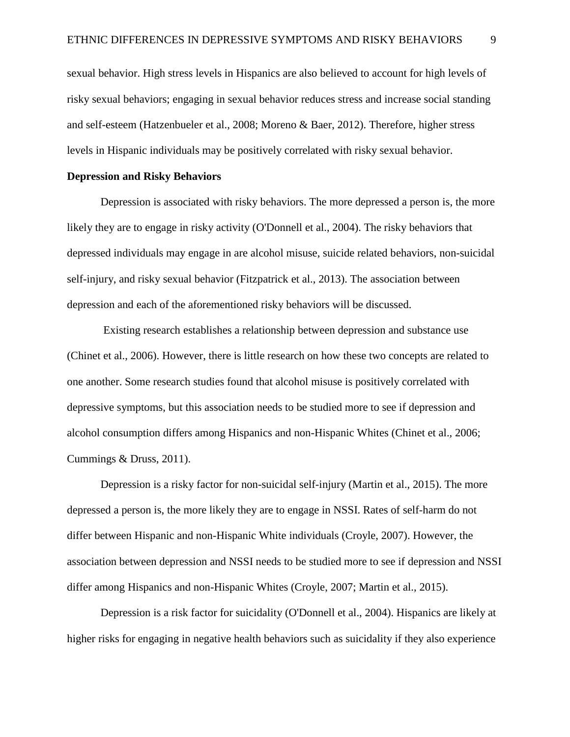sexual behavior. High stress levels in Hispanics are also believed to account for high levels of risky sexual behaviors; engaging in sexual behavior reduces stress and increase social standing and self-esteem (Hatzenbueler et al., 2008; Moreno & Baer, 2012). Therefore, higher stress levels in Hispanic individuals may be positively correlated with risky sexual behavior.

## **Depression and Risky Behaviors**

Depression is associated with risky behaviors. The more depressed a person is, the more likely they are to engage in risky activity (O'Donnell et al., 2004). The risky behaviors that depressed individuals may engage in are alcohol misuse, suicide related behaviors, non-suicidal self-injury, and risky sexual behavior (Fitzpatrick et al., 2013). The association between depression and each of the aforementioned risky behaviors will be discussed.

Existing research establishes a relationship between depression and substance use (Chinet et al., 2006). However, there is little research on how these two concepts are related to one another. Some research studies found that alcohol misuse is positively correlated with depressive symptoms, but this association needs to be studied more to see if depression and alcohol consumption differs among Hispanics and non-Hispanic Whites (Chinet et al., 2006; Cummings & Druss, 2011).

Depression is a risky factor for non-suicidal self-injury (Martin et al., 2015). The more depressed a person is, the more likely they are to engage in NSSI. Rates of self-harm do not differ between Hispanic and non-Hispanic White individuals (Croyle, 2007). However, the association between depression and NSSI needs to be studied more to see if depression and NSSI differ among Hispanics and non-Hispanic Whites (Croyle, 2007; Martin et al., 2015).

Depression is a risk factor for suicidality (O'Donnell et al., 2004). Hispanics are likely at higher risks for engaging in negative health behaviors such as suicidality if they also experience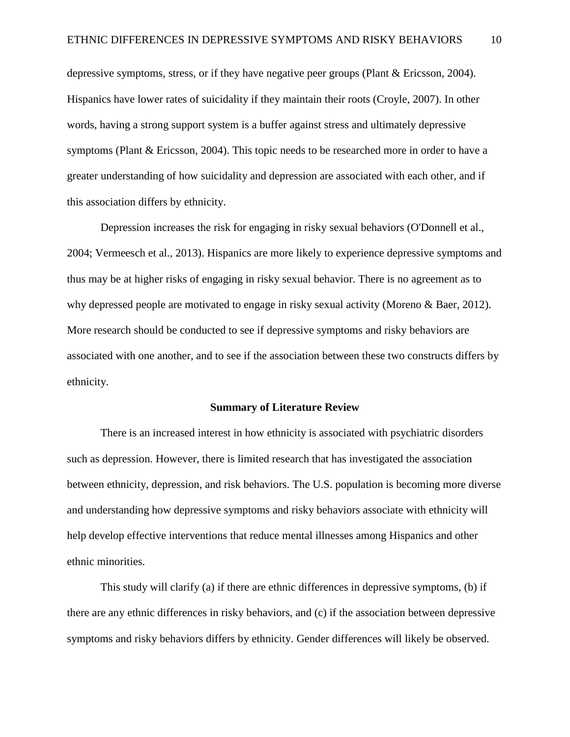depressive symptoms, stress, or if they have negative peer groups (Plant & Ericsson, 2004). Hispanics have lower rates of suicidality if they maintain their roots (Croyle, 2007). In other words, having a strong support system is a buffer against stress and ultimately depressive symptoms (Plant & Ericsson, 2004). This topic needs to be researched more in order to have a greater understanding of how suicidality and depression are associated with each other, and if this association differs by ethnicity.

Depression increases the risk for engaging in risky sexual behaviors (O'Donnell et al., 2004; Vermeesch et al., 2013). Hispanics are more likely to experience depressive symptoms and thus may be at higher risks of engaging in risky sexual behavior. There is no agreement as to why depressed people are motivated to engage in risky sexual activity (Moreno & Baer, 2012). More research should be conducted to see if depressive symptoms and risky behaviors are associated with one another, and to see if the association between these two constructs differs by ethnicity.

#### **Summary of Literature Review**

There is an increased interest in how ethnicity is associated with psychiatric disorders such as depression. However, there is limited research that has investigated the association between ethnicity, depression, and risk behaviors. The U.S. population is becoming more diverse and understanding how depressive symptoms and risky behaviors associate with ethnicity will help develop effective interventions that reduce mental illnesses among Hispanics and other ethnic minorities.

This study will clarify (a) if there are ethnic differences in depressive symptoms, (b) if there are any ethnic differences in risky behaviors, and (c) if the association between depressive symptoms and risky behaviors differs by ethnicity. Gender differences will likely be observed.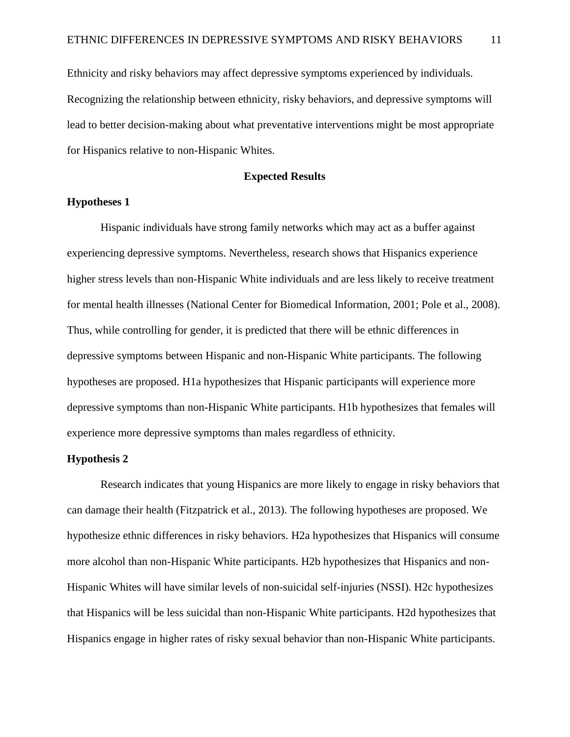Ethnicity and risky behaviors may affect depressive symptoms experienced by individuals. Recognizing the relationship between ethnicity, risky behaviors, and depressive symptoms will lead to better decision-making about what preventative interventions might be most appropriate for Hispanics relative to non-Hispanic Whites.

### **Expected Results**

## **Hypotheses 1**

Hispanic individuals have strong family networks which may act as a buffer against experiencing depressive symptoms. Nevertheless, research shows that Hispanics experience higher stress levels than non-Hispanic White individuals and are less likely to receive treatment for mental health illnesses (National Center for Biomedical Information, 2001; Pole et al., 2008). Thus, while controlling for gender, it is predicted that there will be ethnic differences in depressive symptoms between Hispanic and non-Hispanic White participants. The following hypotheses are proposed. H1a hypothesizes that Hispanic participants will experience more depressive symptoms than non-Hispanic White participants. H1b hypothesizes that females will experience more depressive symptoms than males regardless of ethnicity.

### **Hypothesis 2**

Research indicates that young Hispanics are more likely to engage in risky behaviors that can damage their health (Fitzpatrick et al., 2013). The following hypotheses are proposed. We hypothesize ethnic differences in risky behaviors. H2a hypothesizes that Hispanics will consume more alcohol than non-Hispanic White participants. H2b hypothesizes that Hispanics and non-Hispanic Whites will have similar levels of non-suicidal self-injuries (NSSI). H2c hypothesizes that Hispanics will be less suicidal than non-Hispanic White participants. H2d hypothesizes that Hispanics engage in higher rates of risky sexual behavior than non-Hispanic White participants.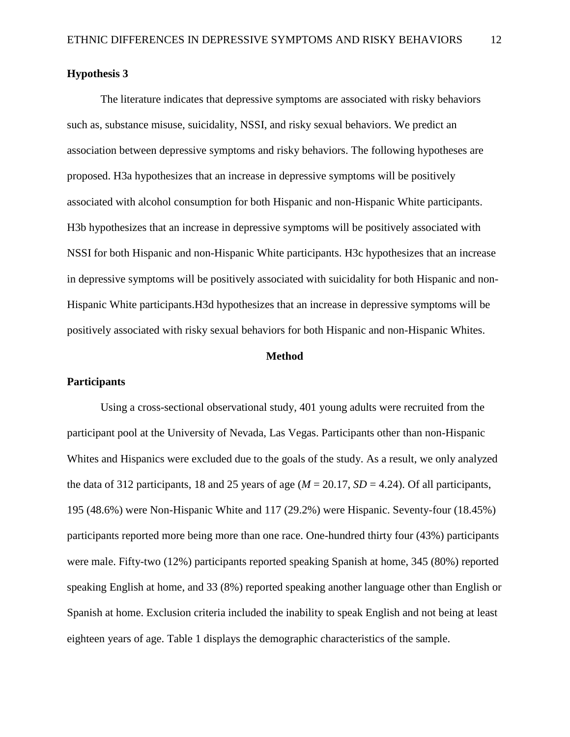## **Hypothesis 3**

The literature indicates that depressive symptoms are associated with risky behaviors such as, substance misuse, suicidality, NSSI, and risky sexual behaviors. We predict an association between depressive symptoms and risky behaviors. The following hypotheses are proposed. H3a hypothesizes that an increase in depressive symptoms will be positively associated with alcohol consumption for both Hispanic and non-Hispanic White participants. H3b hypothesizes that an increase in depressive symptoms will be positively associated with NSSI for both Hispanic and non-Hispanic White participants. H3c hypothesizes that an increase in depressive symptoms will be positively associated with suicidality for both Hispanic and non-Hispanic White participants.H3d hypothesizes that an increase in depressive symptoms will be positively associated with risky sexual behaviors for both Hispanic and non-Hispanic Whites.

#### **Method**

#### **Participants**

Using a cross-sectional observational study, 401 young adults were recruited from the participant pool at the University of Nevada, Las Vegas. Participants other than non-Hispanic Whites and Hispanics were excluded due to the goals of the study. As a result, we only analyzed the data of 312 participants, 18 and 25 years of age  $(M = 20.17, SD = 4.24)$ . Of all participants, 195 (48.6%) were Non-Hispanic White and 117 (29.2%) were Hispanic. Seventy-four (18.45%) participants reported more being more than one race. One-hundred thirty four (43%) participants were male. Fifty-two (12%) participants reported speaking Spanish at home, 345 (80%) reported speaking English at home, and 33 (8%) reported speaking another language other than English or Spanish at home. Exclusion criteria included the inability to speak English and not being at least eighteen years of age. Table 1 displays the demographic characteristics of the sample.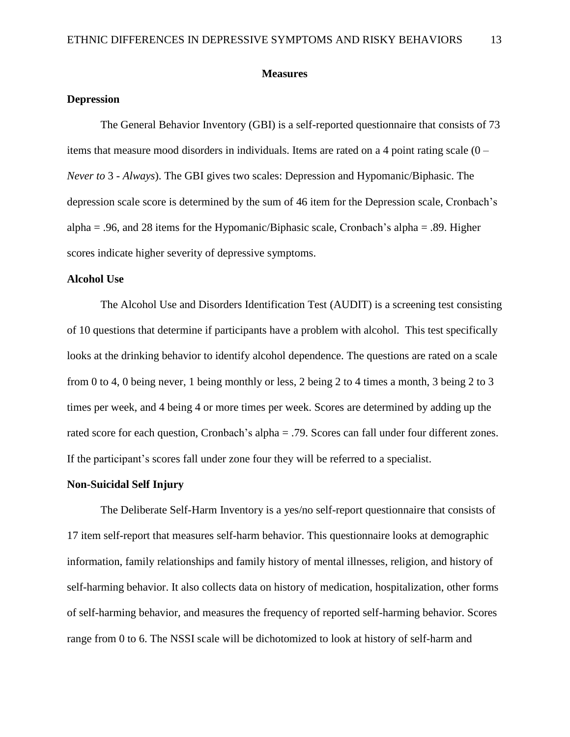## **Measures**

## **Depression**

The General Behavior Inventory (GBI) is a self-reported questionnaire that consists of 73 items that measure mood disorders in individuals. Items are rated on a 4 point rating scale (0 – *Never to* 3 - *Always*). The GBI gives two scales: Depression and Hypomanic/Biphasic. The depression scale score is determined by the sum of 46 item for the Depression scale, Cronbach's alpha = .96, and 28 items for the Hypomanic/Biphasic scale, Cronbach's alpha = .89. Higher scores indicate higher severity of depressive symptoms.

## **Alcohol Use**

The Alcohol Use and Disorders Identification Test (AUDIT) is a screening test consisting of 10 questions that determine if participants have a problem with alcohol. This test specifically looks at the drinking behavior to identify alcohol dependence. The questions are rated on a scale from 0 to 4, 0 being never, 1 being monthly or less, 2 being 2 to 4 times a month, 3 being 2 to 3 times per week, and 4 being 4 or more times per week. Scores are determined by adding up the rated score for each question, Cronbach's alpha = .79. Scores can fall under four different zones. If the participant's scores fall under zone four they will be referred to a specialist.

#### **Non-Suicidal Self Injury**

The Deliberate Self-Harm Inventory is a yes/no self-report questionnaire that consists of 17 item self-report that measures self-harm behavior. This questionnaire looks at demographic information, family relationships and family history of mental illnesses, religion, and history of self-harming behavior. It also collects data on history of medication, hospitalization, other forms of self-harming behavior, and measures the frequency of reported self-harming behavior. Scores range from 0 to 6. The NSSI scale will be dichotomized to look at history of self-harm and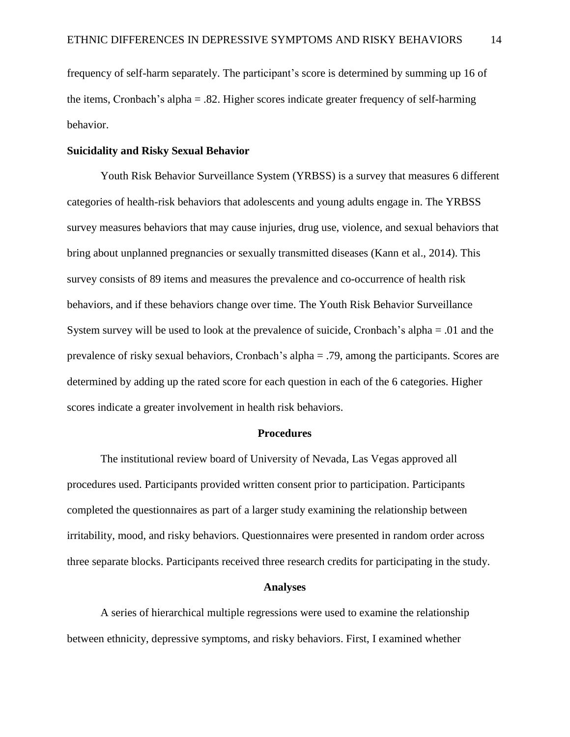frequency of self-harm separately. The participant's score is determined by summing up 16 of the items, Cronbach's alpha = .82. Higher scores indicate greater frequency of self-harming behavior.

#### **Suicidality and Risky Sexual Behavior**

Youth Risk Behavior Surveillance System (YRBSS) is a survey that measures 6 different categories of health-risk behaviors that adolescents and young adults engage in. The YRBSS survey measures behaviors that may cause injuries, drug use, violence, and sexual behaviors that bring about unplanned pregnancies or sexually transmitted diseases (Kann et al., 2014). This survey consists of 89 items and measures the prevalence and co-occurrence of health risk behaviors, and if these behaviors change over time. The Youth Risk Behavior Surveillance System survey will be used to look at the prevalence of suicide, Cronbach's alpha = .01 and the prevalence of risky sexual behaviors, Cronbach's alpha = .79, among the participants. Scores are determined by adding up the rated score for each question in each of the 6 categories. Higher scores indicate a greater involvement in health risk behaviors.

#### **Procedures**

The institutional review board of University of Nevada, Las Vegas approved all procedures used. Participants provided written consent prior to participation. Participants completed the questionnaires as part of a larger study examining the relationship between irritability, mood, and risky behaviors. Questionnaires were presented in random order across three separate blocks. Participants received three research credits for participating in the study.

#### **Analyses**

A series of hierarchical multiple regressions were used to examine the relationship between ethnicity, depressive symptoms, and risky behaviors. First, I examined whether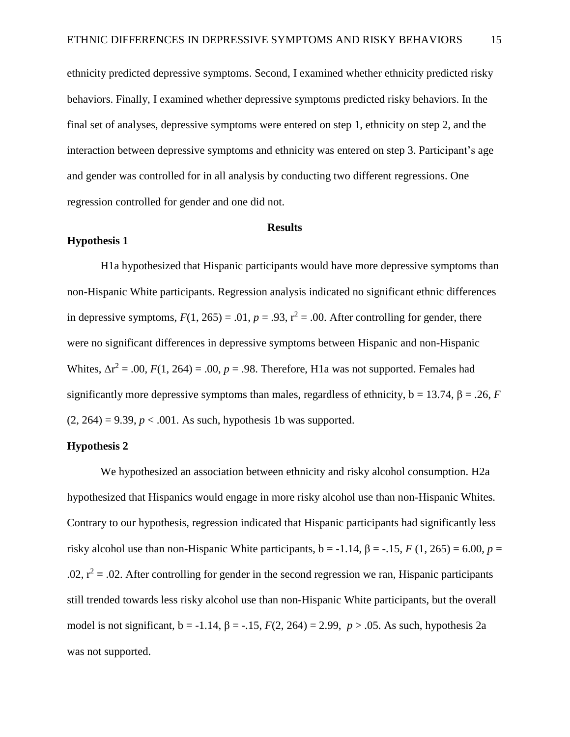ethnicity predicted depressive symptoms. Second, I examined whether ethnicity predicted risky behaviors. Finally, I examined whether depressive symptoms predicted risky behaviors. In the final set of analyses, depressive symptoms were entered on step 1, ethnicity on step 2, and the interaction between depressive symptoms and ethnicity was entered on step 3. Participant's age and gender was controlled for in all analysis by conducting two different regressions. One regression controlled for gender and one did not.

## **Results**

#### **Hypothesis 1**

H1a hypothesized that Hispanic participants would have more depressive symptoms than non-Hispanic White participants. Regression analysis indicated no significant ethnic differences in depressive symptoms,  $F(1, 265) = .01$ ,  $p = .93$ ,  $r^2 = .00$ . After controlling for gender, there were no significant differences in depressive symptoms between Hispanic and non-Hispanic Whites,  $\Delta r^2 = .00$ ,  $F(1, 264) = .00$ ,  $p = .98$ . Therefore, H1a was not supported. Females had significantly more depressive symptoms than males, regardless of ethnicity,  $b = 13.74$ ,  $\beta = .26$ , *F*  $(2, 264) = 9.39, p < .001$ . As such, hypothesis 1b was supported.

## **Hypothesis 2**

We hypothesized an association between ethnicity and risky alcohol consumption. H2a hypothesized that Hispanics would engage in more risky alcohol use than non-Hispanic Whites. Contrary to our hypothesis, regression indicated that Hispanic participants had significantly less risky alcohol use than non-Hispanic White participants,  $b = -1.14$ ,  $\beta = -1.15$ ,  $F(1, 265) = 6.00$ ,  $p =$  $.02$ ,  $r^2$  = .02. After controlling for gender in the second regression we ran, Hispanic participants still trended towards less risky alcohol use than non-Hispanic White participants, but the overall model is not significant, b = -1.14, β = -.15, *F*(2, 264) = 2.99, *p* > .05. As such, hypothesis 2a was not supported.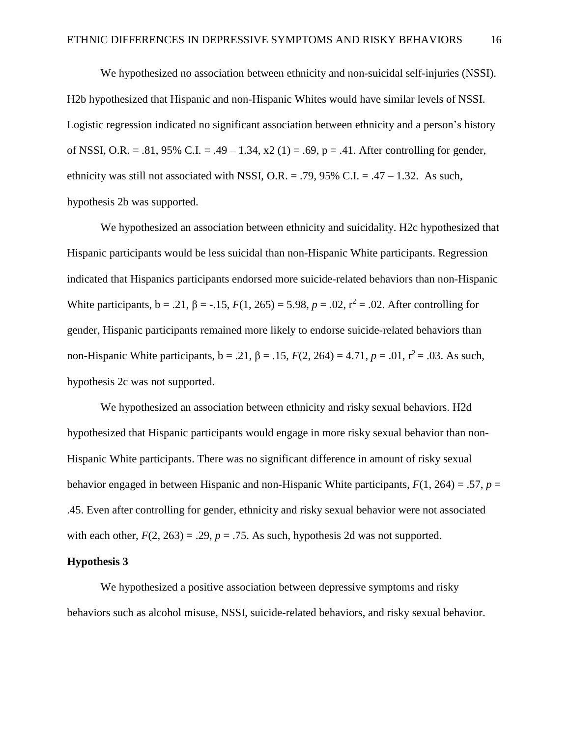We hypothesized no association between ethnicity and non-suicidal self-injuries (NSSI). H2b hypothesized that Hispanic and non-Hispanic Whites would have similar levels of NSSI. Logistic regression indicated no significant association between ethnicity and a person's history of NSSI, O.R. = .81, 95% C.I. = .49 – 1.34,  $x(1) = .69$ ,  $p = .41$ . After controlling for gender, ethnicity was still not associated with NSSI, O.R. = .79, 95% C.I. = .47 – 1.32. As such, hypothesis 2b was supported.

We hypothesized an association between ethnicity and suicidality. H2c hypothesized that Hispanic participants would be less suicidal than non-Hispanic White participants. Regression indicated that Hispanics participants endorsed more suicide-related behaviors than non-Hispanic White participants,  $b = .21$ ,  $\beta = -.15$ ,  $F(1, 265) = 5.98$ ,  $p = .02$ ,  $r^2 = .02$ . After controlling for gender, Hispanic participants remained more likely to endorse suicide-related behaviors than non-Hispanic White participants,  $b = .21$ ,  $\beta = .15$ ,  $F(2, 264) = 4.71$ ,  $p = .01$ ,  $r^2 = .03$ . As such, hypothesis 2c was not supported.

We hypothesized an association between ethnicity and risky sexual behaviors. H2d hypothesized that Hispanic participants would engage in more risky sexual behavior than non-Hispanic White participants. There was no significant difference in amount of risky sexual behavior engaged in between Hispanic and non-Hispanic White participants, *F*(1, 264) = .57, *p* = .45. Even after controlling for gender, ethnicity and risky sexual behavior were not associated with each other,  $F(2, 263) = .29$ ,  $p = .75$ . As such, hypothesis 2d was not supported.

### **Hypothesis 3**

We hypothesized a positive association between depressive symptoms and risky behaviors such as alcohol misuse, NSSI, suicide-related behaviors, and risky sexual behavior.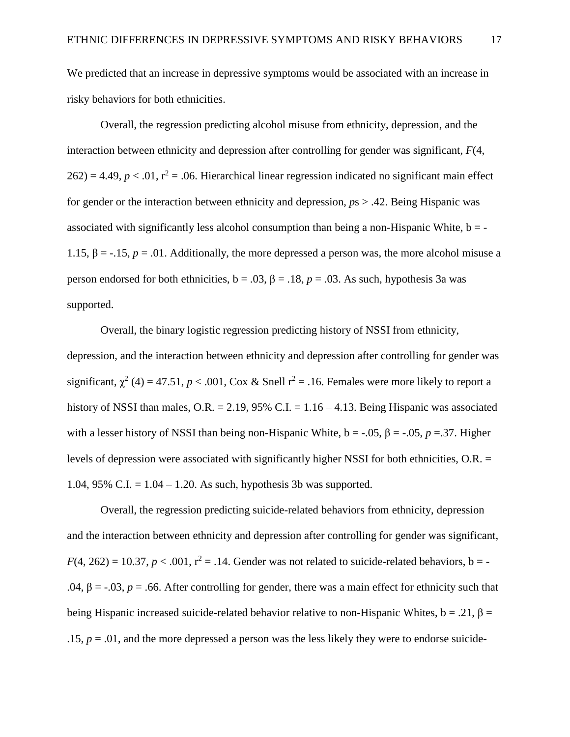We predicted that an increase in depressive symptoms would be associated with an increase in risky behaviors for both ethnicities.

Overall, the regression predicting alcohol misuse from ethnicity, depression, and the interaction between ethnicity and depression after controlling for gender was significant, *F*(4,  $262$ ) = 4.49,  $p < .01$ ,  $r^2 = .06$ . Hierarchical linear regression indicated no significant main effect for gender or the interaction between ethnicity and depression, *p*s > .42. Being Hispanic was associated with significantly less alcohol consumption than being a non-Hispanic White,  $b = -$ 1.15,  $\beta = -15$ ,  $p = .01$ . Additionally, the more depressed a person was, the more alcohol misuse a person endorsed for both ethnicities,  $b = .03$ ,  $\beta = .18$ ,  $p = .03$ . As such, hypothesis 3a was supported.

Overall, the binary logistic regression predicting history of NSSI from ethnicity, depression, and the interaction between ethnicity and depression after controlling for gender was significant,  $\chi^2$  (4) = 47.51, *p* < .001, Cox & Snell  $r^2$  = .16. Females were more likely to report a history of NSSI than males, O.R. = 2.19, 95% C.I. =  $1.16 - 4.13$ . Being Hispanic was associated with a lesser history of NSSI than being non-Hispanic White,  $b = -0.05$ ,  $\beta = -0.05$ ,  $p = 0.37$ . Higher levels of depression were associated with significantly higher NSSI for both ethnicities, O.R. = 1.04, 95% C.I. =  $1.04 - 1.20$ . As such, hypothesis 3b was supported.

Overall, the regression predicting suicide-related behaviors from ethnicity, depression and the interaction between ethnicity and depression after controlling for gender was significant,  $F(4, 262) = 10.37, p < .001, r<sup>2</sup> = .14$ . Gender was not related to suicide-related behaviors, b = -.04,  $\beta$  = -.03, *p* = .66. After controlling for gender, there was a main effect for ethnicity such that being Hispanic increased suicide-related behavior relative to non-Hispanic Whites,  $b = .21$ ,  $\beta =$  $.15, p = .01$ , and the more depressed a person was the less likely they were to endorse suicide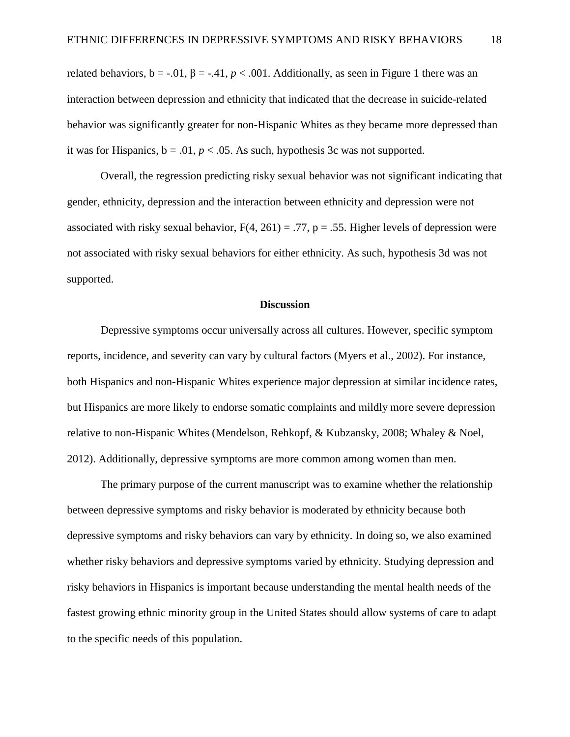related behaviors,  $b = -0.01$ ,  $\beta = -0.41$ ,  $p < .001$ . Additionally, as seen in Figure 1 there was an interaction between depression and ethnicity that indicated that the decrease in suicide-related behavior was significantly greater for non-Hispanic Whites as they became more depressed than it was for Hispanics,  $b = .01$ ,  $p < .05$ . As such, hypothesis 3c was not supported.

Overall, the regression predicting risky sexual behavior was not significant indicating that gender, ethnicity, depression and the interaction between ethnicity and depression were not associated with risky sexual behavior,  $F(4, 261) = .77$ ,  $p = .55$ . Higher levels of depression were not associated with risky sexual behaviors for either ethnicity. As such, hypothesis 3d was not supported.

#### **Discussion**

Depressive symptoms occur universally across all cultures. However, specific symptom reports, incidence, and severity can vary by cultural factors (Myers et al., 2002). For instance, both Hispanics and non-Hispanic Whites experience major depression at similar incidence rates, but Hispanics are more likely to endorse somatic complaints and mildly more severe depression relative to non-Hispanic Whites (Mendelson, Rehkopf, & Kubzansky, 2008; Whaley & Noel, 2012). Additionally, depressive symptoms are more common among women than men.

The primary purpose of the current manuscript was to examine whether the relationship between depressive symptoms and risky behavior is moderated by ethnicity because both depressive symptoms and risky behaviors can vary by ethnicity. In doing so, we also examined whether risky behaviors and depressive symptoms varied by ethnicity. Studying depression and risky behaviors in Hispanics is important because understanding the mental health needs of the fastest growing ethnic minority group in the United States should allow systems of care to adapt to the specific needs of this population.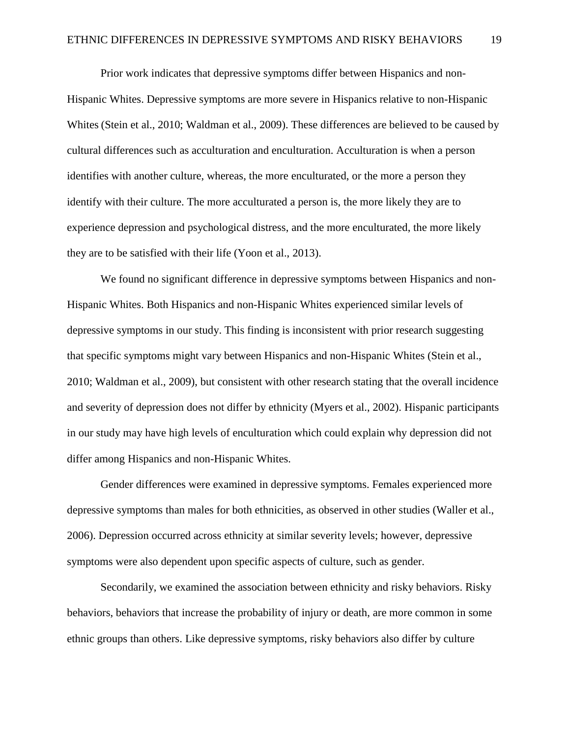Prior work indicates that depressive symptoms differ between Hispanics and non-Hispanic Whites. Depressive symptoms are more severe in Hispanics relative to non-Hispanic Whites (Stein et al., 2010; Waldman et al., 2009). These differences are believed to be caused by cultural differences such as acculturation and enculturation. Acculturation is when a person identifies with another culture, whereas, the more enculturated, or the more a person they identify with their culture. The more acculturated a person is, the more likely they are to experience depression and psychological distress, and the more enculturated, the more likely they are to be satisfied with their life (Yoon et al., 2013).

We found no significant difference in depressive symptoms between Hispanics and non-Hispanic Whites. Both Hispanics and non-Hispanic Whites experienced similar levels of depressive symptoms in our study. This finding is inconsistent with prior research suggesting that specific symptoms might vary between Hispanics and non-Hispanic Whites (Stein et al., 2010; Waldman et al., 2009), but consistent with other research stating that the overall incidence and severity of depression does not differ by ethnicity (Myers et al., 2002). Hispanic participants in our study may have high levels of enculturation which could explain why depression did not differ among Hispanics and non-Hispanic Whites.

Gender differences were examined in depressive symptoms. Females experienced more depressive symptoms than males for both ethnicities, as observed in other studies (Waller et al., 2006). Depression occurred across ethnicity at similar severity levels; however, depressive symptoms were also dependent upon specific aspects of culture, such as gender.

Secondarily, we examined the association between ethnicity and risky behaviors. Risky behaviors, behaviors that increase the probability of injury or death, are more common in some ethnic groups than others. Like depressive symptoms, risky behaviors also differ by culture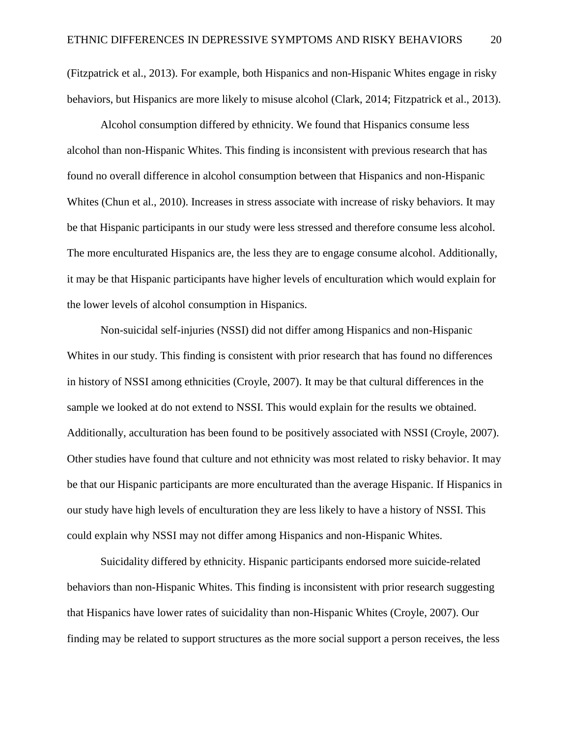(Fitzpatrick et al., 2013). For example, both Hispanics and non-Hispanic Whites engage in risky behaviors, but Hispanics are more likely to misuse alcohol (Clark, 2014; Fitzpatrick et al., 2013).

Alcohol consumption differed by ethnicity. We found that Hispanics consume less alcohol than non-Hispanic Whites. This finding is inconsistent with previous research that has found no overall difference in alcohol consumption between that Hispanics and non-Hispanic Whites (Chun et al., 2010). Increases in stress associate with increase of risky behaviors. It may be that Hispanic participants in our study were less stressed and therefore consume less alcohol. The more enculturated Hispanics are, the less they are to engage consume alcohol. Additionally, it may be that Hispanic participants have higher levels of enculturation which would explain for the lower levels of alcohol consumption in Hispanics.

Non-suicidal self-injuries (NSSI) did not differ among Hispanics and non-Hispanic Whites in our study. This finding is consistent with prior research that has found no differences in history of NSSI among ethnicities (Croyle, 2007). It may be that cultural differences in the sample we looked at do not extend to NSSI. This would explain for the results we obtained. Additionally, acculturation has been found to be positively associated with NSSI (Croyle, 2007). Other studies have found that culture and not ethnicity was most related to risky behavior. It may be that our Hispanic participants are more enculturated than the average Hispanic. If Hispanics in our study have high levels of enculturation they are less likely to have a history of NSSI. This could explain why NSSI may not differ among Hispanics and non-Hispanic Whites.

Suicidality differed by ethnicity. Hispanic participants endorsed more suicide-related behaviors than non-Hispanic Whites. This finding is inconsistent with prior research suggesting that Hispanics have lower rates of suicidality than non-Hispanic Whites (Croyle, 2007). Our finding may be related to support structures as the more social support a person receives, the less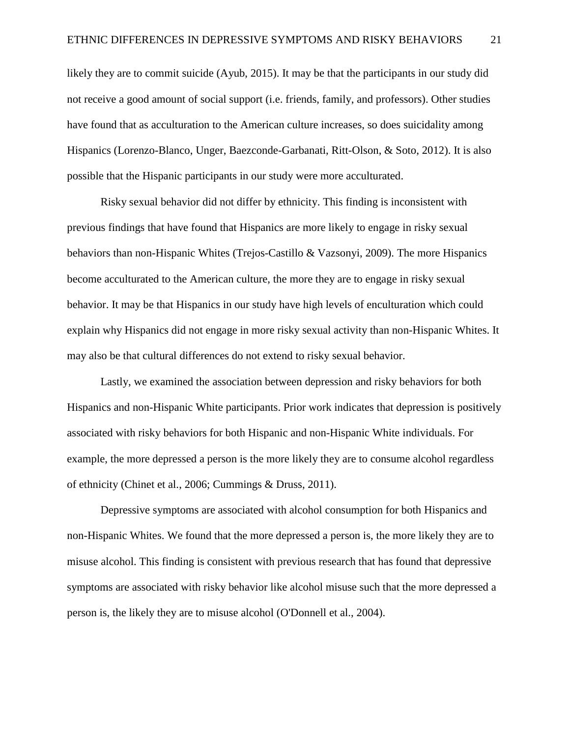likely they are to commit suicide (Ayub, 2015). It may be that the participants in our study did not receive a good amount of social support (i.e. friends, family, and professors). Other studies have found that as acculturation to the American culture increases, so does suicidality among Hispanics (Lorenzo-Blanco, Unger, Baezconde-Garbanati, Ritt-Olson, & Soto, 2012). It is also possible that the Hispanic participants in our study were more acculturated.

Risky sexual behavior did not differ by ethnicity. This finding is inconsistent with previous findings that have found that Hispanics are more likely to engage in risky sexual behaviors than non-Hispanic Whites (Trejos-Castillo & Vazsonyi, 2009). The more Hispanics become acculturated to the American culture, the more they are to engage in risky sexual behavior. It may be that Hispanics in our study have high levels of enculturation which could explain why Hispanics did not engage in more risky sexual activity than non-Hispanic Whites. It may also be that cultural differences do not extend to risky sexual behavior.

Lastly, we examined the association between depression and risky behaviors for both Hispanics and non-Hispanic White participants. Prior work indicates that depression is positively associated with risky behaviors for both Hispanic and non-Hispanic White individuals. For example, the more depressed a person is the more likely they are to consume alcohol regardless of ethnicity (Chinet et al., 2006; Cummings & Druss, 2011).

Depressive symptoms are associated with alcohol consumption for both Hispanics and non-Hispanic Whites. We found that the more depressed a person is, the more likely they are to misuse alcohol. This finding is consistent with previous research that has found that depressive symptoms are associated with risky behavior like alcohol misuse such that the more depressed a person is, the likely they are to misuse alcohol (O'Donnell et al., 2004).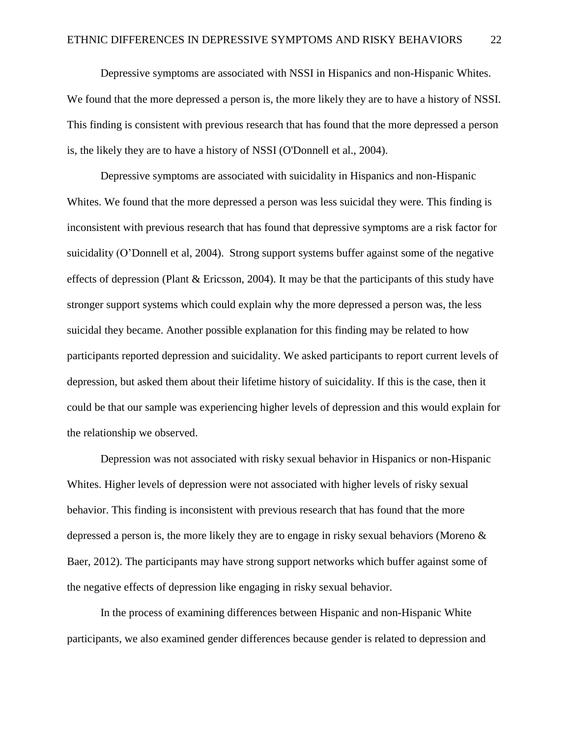Depressive symptoms are associated with NSSI in Hispanics and non-Hispanic Whites. We found that the more depressed a person is, the more likely they are to have a history of NSSI. This finding is consistent with previous research that has found that the more depressed a person is, the likely they are to have a history of NSSI (O'Donnell et al., 2004).

Depressive symptoms are associated with suicidality in Hispanics and non-Hispanic Whites. We found that the more depressed a person was less suicidal they were. This finding is inconsistent with previous research that has found that depressive symptoms are a risk factor for suicidality (O'Donnell et al, 2004). Strong support systems buffer against some of the negative effects of depression (Plant & Ericsson, 2004). It may be that the participants of this study have stronger support systems which could explain why the more depressed a person was, the less suicidal they became. Another possible explanation for this finding may be related to how participants reported depression and suicidality. We asked participants to report current levels of depression, but asked them about their lifetime history of suicidality. If this is the case, then it could be that our sample was experiencing higher levels of depression and this would explain for the relationship we observed.

Depression was not associated with risky sexual behavior in Hispanics or non-Hispanic Whites. Higher levels of depression were not associated with higher levels of risky sexual behavior. This finding is inconsistent with previous research that has found that the more depressed a person is, the more likely they are to engage in risky sexual behaviors (Moreno  $\&$ Baer, 2012). The participants may have strong support networks which buffer against some of the negative effects of depression like engaging in risky sexual behavior.

In the process of examining differences between Hispanic and non-Hispanic White participants, we also examined gender differences because gender is related to depression and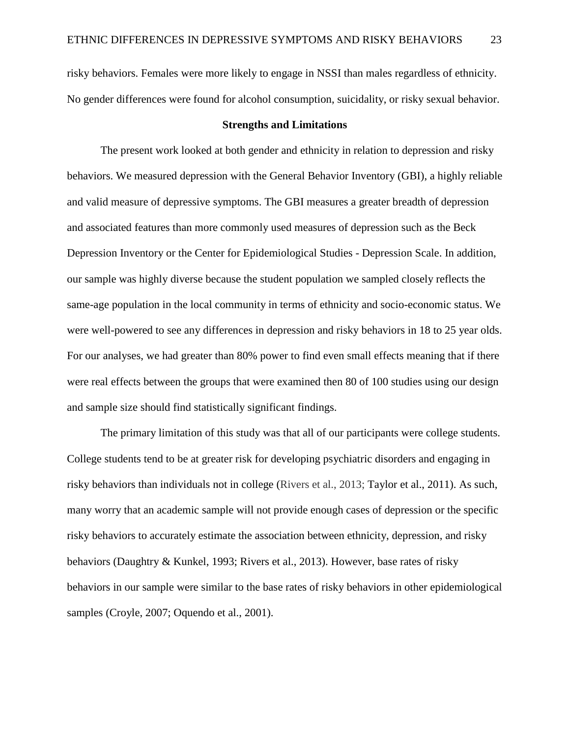risky behaviors. Females were more likely to engage in NSSI than males regardless of ethnicity. No gender differences were found for alcohol consumption, suicidality, or risky sexual behavior.

#### **Strengths and Limitations**

The present work looked at both gender and ethnicity in relation to depression and risky behaviors. We measured depression with the General Behavior Inventory (GBI), a highly reliable and valid measure of depressive symptoms. The GBI measures a greater breadth of depression and associated features than more commonly used measures of depression such as the Beck Depression Inventory or the Center for Epidemiological Studies - Depression Scale. In addition, our sample was highly diverse because the student population we sampled closely reflects the same-age population in the local community in terms of ethnicity and socio-economic status. We were well-powered to see any differences in depression and risky behaviors in 18 to 25 year olds. For our analyses, we had greater than 80% power to find even small effects meaning that if there were real effects between the groups that were examined then 80 of 100 studies using our design and sample size should find statistically significant findings.

The primary limitation of this study was that all of our participants were college students. College students tend to be at greater risk for developing psychiatric disorders and engaging in risky behaviors than individuals not in college (Rivers et al., 2013; Taylor et al., 2011). As such, many worry that an academic sample will not provide enough cases of depression or the specific risky behaviors to accurately estimate the association between ethnicity, depression, and risky behaviors (Daughtry & Kunkel, 1993; Rivers et al., 2013). However, base rates of risky behaviors in our sample were similar to the base rates of risky behaviors in other epidemiological samples (Croyle, 2007; Oquendo et al., 2001).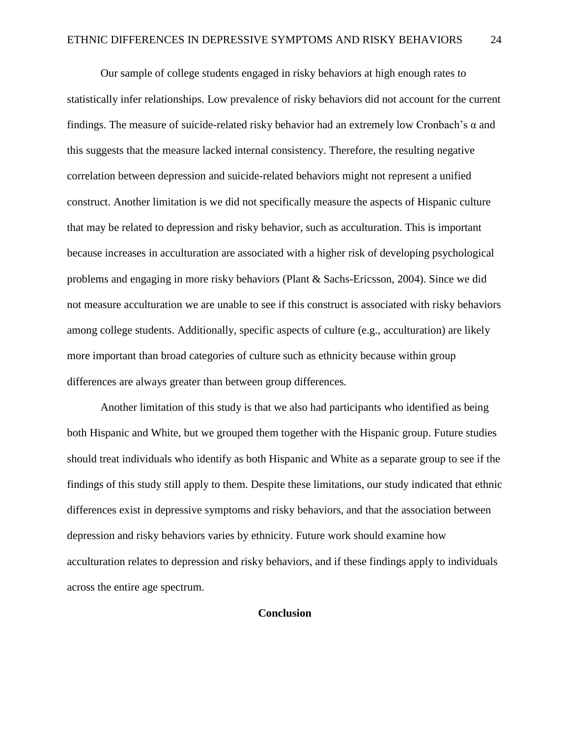Our sample of college students engaged in risky behaviors at high enough rates to statistically infer relationships. Low prevalence of risky behaviors did not account for the current findings. The measure of suicide-related risky behavior had an extremely low Cronbach's  $\alpha$  and this suggests that the measure lacked internal consistency. Therefore, the resulting negative correlation between depression and suicide-related behaviors might not represent a unified construct. Another limitation is we did not specifically measure the aspects of Hispanic culture that may be related to depression and risky behavior, such as acculturation. This is important because increases in acculturation are associated with a higher risk of developing psychological problems and engaging in more risky behaviors (Plant & Sachs-Ericsson, 2004). Since we did not measure acculturation we are unable to see if this construct is associated with risky behaviors among college students. Additionally, specific aspects of culture (e.g., acculturation) are likely more important than broad categories of culture such as ethnicity because within group differences are always greater than between group differences.

Another limitation of this study is that we also had participants who identified as being both Hispanic and White, but we grouped them together with the Hispanic group. Future studies should treat individuals who identify as both Hispanic and White as a separate group to see if the findings of this study still apply to them. Despite these limitations, our study indicated that ethnic differences exist in depressive symptoms and risky behaviors, and that the association between depression and risky behaviors varies by ethnicity. Future work should examine how acculturation relates to depression and risky behaviors, and if these findings apply to individuals across the entire age spectrum.

## **Conclusion**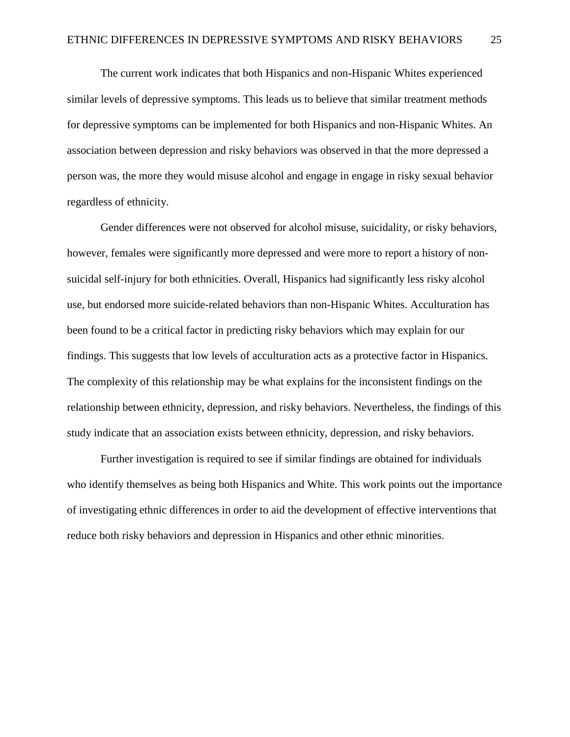The current work indicates that both Hispanics and non-Hispanic Whites experienced similar levels of depressive symptoms. This leads us to believe that similar treatment methods for depressive symptoms can be implemented for both Hispanics and non-Hispanic Whites. An association between depression and risky behaviors was observed in that the more depressed a person was, the more they would misuse alcohol and engage in engage in risky sexual behavior regardless of ethnicity.

Gender differences were not observed for alcohol misuse, suicidality, or risky behaviors, however, females were significantly more depressed and were more to report a history of nonsuicidal self-injury for both ethnicities. Overall, Hispanics had significantly less risky alcohol use, but endorsed more suicide-related behaviors than non-Hispanic Whites. Acculturation has been found to be a critical factor in predicting risky behaviors which may explain for our findings. This suggests that low levels of acculturation acts as a protective factor in Hispanics. The complexity of this relationship may be what explains for the inconsistent findings on the relationship between ethnicity, depression, and risky behaviors. Nevertheless, the findings of this study indicate that an association exists between ethnicity, depression, and risky behaviors.

Further investigation is required to see if similar findings are obtained for individuals who identify themselves as being both Hispanics and White. This work points out the importance of investigating ethnic differences in order to aid the development of effective interventions that reduce both risky behaviors and depression in Hispanics and other ethnic minorities.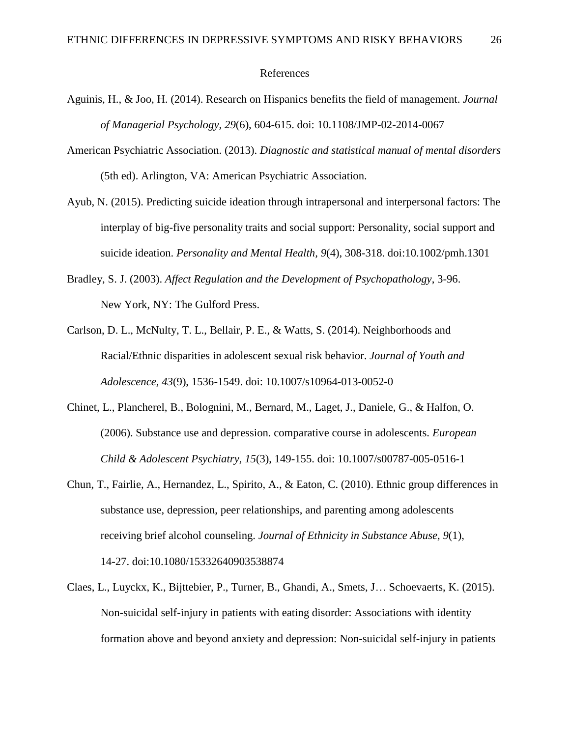#### References

- Aguinis, H., & Joo, H. (2014). Research on Hispanics benefits the field of management. *Journal of Managerial Psychology, 29*(6), 604-615. doi: 10.1108/JMP-02-2014-0067
- American Psychiatric Association. (2013). *Diagnostic and statistical manual of mental disorders* (5th ed). Arlington, VA: American Psychiatric Association.
- Ayub, N. (2015). Predicting suicide ideation through intrapersonal and interpersonal factors: The interplay of big-five personality traits and social support: Personality, social support and suicide ideation. *Personality and Mental Health, 9*(4), 308-318. doi:10.1002/pmh.1301
- Bradley, S. J. (2003). *Affect Regulation and the Development of Psychopathology*, 3-96. New York, NY: The Gulford Press.
- Carlson, D. L., McNulty, T. L., Bellair, P. E., & Watts, S. (2014). Neighborhoods and Racial/Ethnic disparities in adolescent sexual risk behavior. *Journal of Youth and Adolescence, 43*(9), 1536-1549. doi: 10.1007/s10964-013-0052-0
- Chinet, L., Plancherel, B., Bolognini, M., Bernard, M., Laget, J., Daniele, G., & Halfon, O. (2006). Substance use and depression. comparative course in adolescents. *European Child & Adolescent Psychiatry, 15*(3), 149-155. doi: 10.1007/s00787-005-0516-1
- Chun, T., Fairlie, A., Hernandez, L., Spirito, A., & Eaton, C. (2010). Ethnic group differences in substance use, depression, peer relationships, and parenting among adolescents receiving brief alcohol counseling. *Journal of Ethnicity in Substance Abuse, 9*(1), 14-27. doi:10.1080/15332640903538874
- Claes, L., Luyckx, K., Bijttebier, P., Turner, B., Ghandi, A., Smets, J… Schoevaerts, K. (2015). Non-suicidal self-injury in patients with eating disorder: Associations with identity formation above and beyond anxiety and depression: Non-suicidal self-injury in patients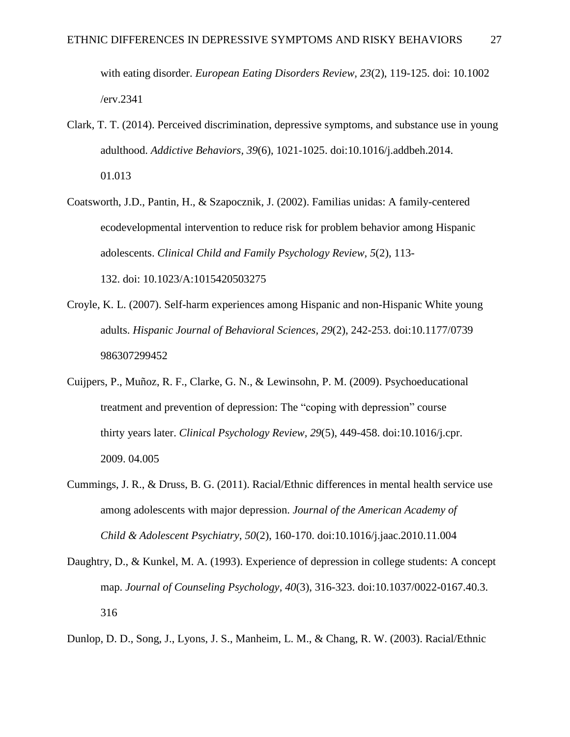with eating disorder. *European Eating Disorders Review, 23*(2), 119-125. doi: 10.1002 /erv.2341

- Clark, T. T. (2014). Perceived discrimination, depressive symptoms, and substance use in young adulthood. *Addictive Behaviors, 39*(6), 1021-1025. doi:10.1016/j.addbeh.2014. 01.013
- Coatsworth, J.D., Pantin, H., & Szapocznik, J. (2002). Familias unidas: A family-centered ecodevelopmental intervention to reduce risk for problem behavior among Hispanic adolescents. *Clinical Child and Family Psychology Review, 5*(2), 113- 132. doi: 10.1023/A:1015420503275
- Croyle, K. L. (2007). Self-harm experiences among Hispanic and non-Hispanic White young adults. *Hispanic Journal of Behavioral Sciences, 29*(2), 242-253. doi:10.1177/0739 986307299452
- Cuijpers, P., Muñoz, R. F., Clarke, G. N., & Lewinsohn, P. M. (2009). Psychoeducational treatment and prevention of depression: The "coping with depression" course thirty years later. *Clinical Psychology Review, 29*(5), 449-458. doi:10.1016/j.cpr. 2009. 04.005
- Cummings, J. R., & Druss, B. G. (2011). Racial/Ethnic differences in mental health service use among adolescents with major depression. *Journal of the American Academy of Child & Adolescent Psychiatry, 50*(2), 160-170. doi:10.1016/j.jaac.2010.11.004
- Daughtry, D., & Kunkel, M. A. (1993). Experience of depression in college students: A concept map. *Journal of Counseling Psychology, 40*(3), 316-323. doi:10.1037/0022-0167.40.3. 316

Dunlop, D. D., Song, J., Lyons, J. S., Manheim, L. M., & Chang, R. W. (2003). Racial/Ethnic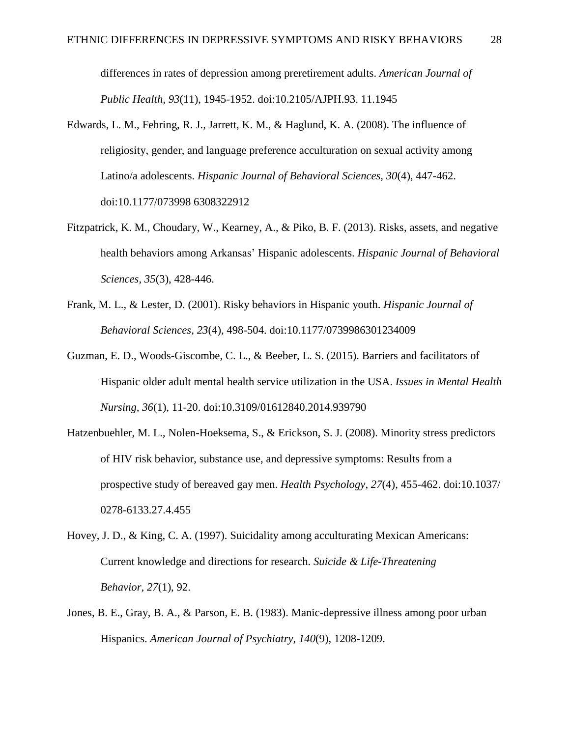differences in rates of depression among preretirement adults. *American Journal of Public Health, 93*(11), 1945-1952. doi:10.2105/AJPH.93. 11.1945

- Edwards, L. M., Fehring, R. J., Jarrett, K. M., & Haglund, K. A. (2008). The influence of religiosity, gender, and language preference acculturation on sexual activity among Latino/a adolescents. *Hispanic Journal of Behavioral Sciences, 30*(4), 447-462. doi:10.1177/073998 6308322912
- Fitzpatrick, K. M., Choudary, W., Kearney, A., & Piko, B. F. (2013). Risks, assets, and negative health behaviors among Arkansas' Hispanic adolescents. *Hispanic Journal of Behavioral Sciences, 35*(3), 428-446.
- Frank, M. L., & Lester, D. (2001). Risky behaviors in Hispanic youth. *Hispanic Journal of Behavioral Sciences, 23*(4), 498-504. doi:10.1177/0739986301234009
- Guzman, E. D., Woods-Giscombe, C. L., & Beeber, L. S. (2015). Barriers and facilitators of Hispanic older adult mental health service utilization in the USA. *Issues in Mental Health Nursing, 36*(1), 11-20. doi:10.3109/01612840.2014.939790
- Hatzenbuehler, M. L., Nolen-Hoeksema, S., & Erickson, S. J. (2008). Minority stress predictors of HIV risk behavior, substance use, and depressive symptoms: Results from a prospective study of bereaved gay men. *Health Psychology, 27*(4), 455-462. doi:10.1037/ 0278-6133.27.4.455
- Hovey, J. D., & King, C. A. (1997). Suicidality among acculturating Mexican Americans: Current knowledge and directions for research. *Suicide & Life-Threatening Behavior, 27*(1), 92.
- Jones, B. E., Gray, B. A., & Parson, E. B. (1983). Manic-depressive illness among poor urban Hispanics. *American Journal of Psychiatry, 140*(9), 1208-1209.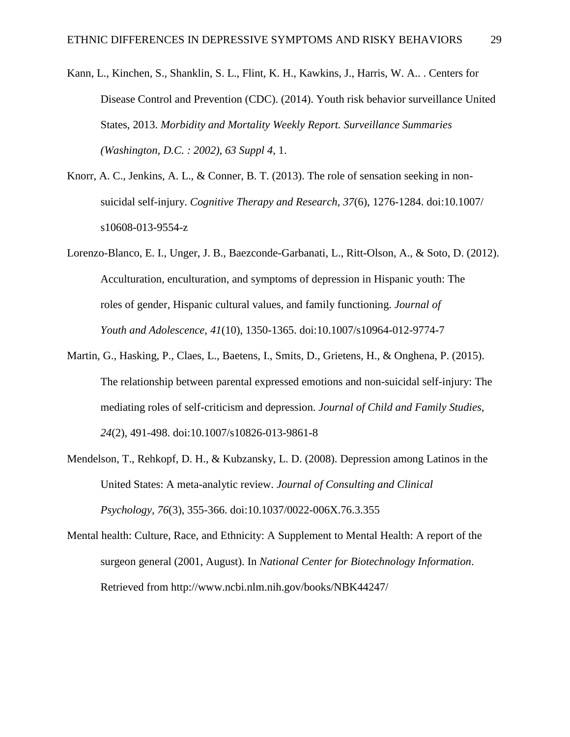- Kann, L., Kinchen, S., Shanklin, S. L., Flint, K. H., Kawkins, J., Harris, W. A.. . Centers for Disease Control and Prevention (CDC). (2014). Youth risk behavior surveillance United States, 2013. *Morbidity and Mortality Weekly Report. Surveillance Summaries (Washington, D.C. : 2002), 63 Suppl 4*, 1.
- Knorr, A. C., Jenkins, A. L., & Conner, B. T. (2013). The role of sensation seeking in nonsuicidal self-injury. *Cognitive Therapy and Research, 37*(6), 1276-1284. doi:10.1007/ s10608-013-9554-z
- Lorenzo-Blanco, E. I., Unger, J. B., Baezconde-Garbanati, L., Ritt-Olson, A., & Soto, D. (2012). Acculturation, enculturation, and symptoms of depression in Hispanic youth: The roles of gender, Hispanic cultural values, and family functioning. *Journal of Youth and Adolescence, 41*(10), 1350-1365. doi:10.1007/s10964-012-9774-7
- Martin, G., Hasking, P., Claes, L., Baetens, I., Smits, D., Grietens, H., & Onghena, P. (2015). The relationship between parental expressed emotions and non-suicidal self-injury: The mediating roles of self-criticism and depression. *Journal of Child and Family Studies, 24*(2), 491-498. doi:10.1007/s10826-013-9861-8
- Mendelson, T., Rehkopf, D. H., & Kubzansky, L. D. (2008). Depression among Latinos in the United States: A meta-analytic review. *Journal of Consulting and Clinical Psychology, 76*(3), 355-366. doi:10.1037/0022-006X.76.3.355
- Mental health: Culture, Race, and Ethnicity: A Supplement to Mental Health: A report of the surgeon general (2001, August). In *National Center for Biotechnology Information*. Retrieved from http://www.ncbi.nlm.nih.gov/books/NBK44247/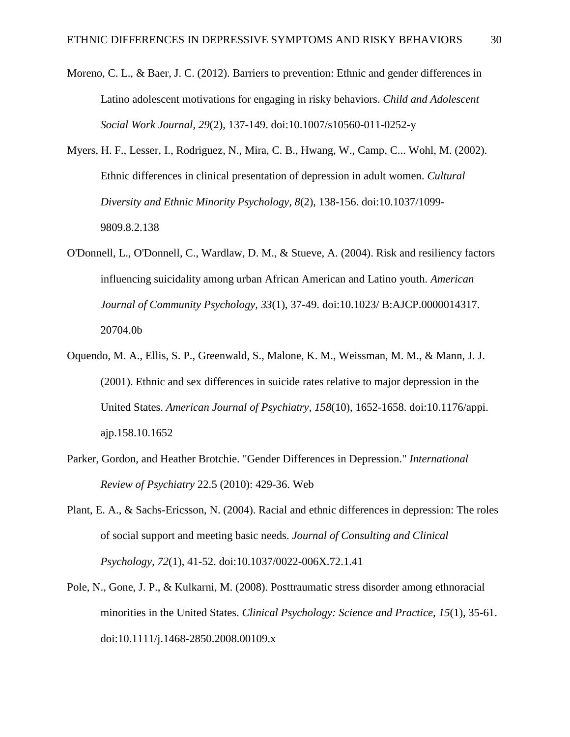- Moreno, C. L., & Baer, J. C. (2012). Barriers to prevention: Ethnic and gender differences in Latino adolescent motivations for engaging in risky behaviors. *Child and Adolescent Social Work Journal, 29*(2), 137-149. doi:10.1007/s10560-011-0252-y
- Myers, H. F., Lesser, I., Rodriguez, N., Mira, C. B., Hwang, W., Camp, C... Wohl, M. (2002). Ethnic differences in clinical presentation of depression in adult women. *Cultural Diversity and Ethnic Minority Psychology, 8*(2), 138-156. doi:10.1037/1099- 9809.8.2.138
- O'Donnell, L., O'Donnell, C., Wardlaw, D. M., & Stueve, A. (2004). Risk and resiliency factors influencing suicidality among urban African American and Latino youth. *American Journal of Community Psychology, 33*(1), 37-49. doi:10.1023/ B:AJCP.0000014317. 20704.0b
- Oquendo, M. A., Ellis, S. P., Greenwald, S., Malone, K. M., Weissman, M. M., & Mann, J. J. (2001). Ethnic and sex differences in suicide rates relative to major depression in the United States. *American Journal of Psychiatry, 158*(10), 1652-1658. doi:10.1176/appi. ajp.158.10.1652
- Parker, Gordon, and Heather Brotchie. "Gender Differences in Depression." *International Review of Psychiatry* 22.5 (2010): 429-36. Web
- Plant, E. A., & Sachs-Ericsson, N. (2004). Racial and ethnic differences in depression: The roles of social support and meeting basic needs. *Journal of Consulting and Clinical Psychology, 72*(1), 41-52. doi:10.1037/0022-006X.72.1.41
- Pole, N., Gone, J. P., & Kulkarni, M. (2008). Posttraumatic stress disorder among ethnoracial minorities in the United States. *Clinical Psychology: Science and Practice, 15*(1), 35-61. doi:10.1111/j.1468-2850.2008.00109.x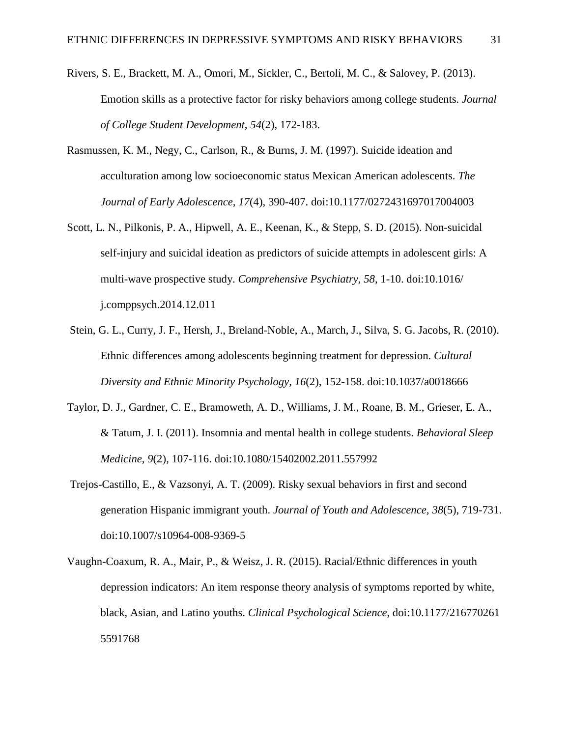- Rivers, S. E., Brackett, M. A., Omori, M., Sickler, C., Bertoli, M. C., & Salovey, P. (2013). Emotion skills as a protective factor for risky behaviors among college students. *Journal of College Student Development, 54*(2), 172-183.
- Rasmussen, K. M., Negy, C., Carlson, R., & Burns, J. M. (1997). Suicide ideation and acculturation among low socioeconomic status Mexican American adolescents. *The Journal of Early Adolescence, 17*(4), 390-407. doi:10.1177/0272431697017004003
- Scott, L. N., Pilkonis, P. A., Hipwell, A. E., Keenan, K., & Stepp, S. D. (2015). Non-suicidal self-injury and suicidal ideation as predictors of suicide attempts in adolescent girls: A multi-wave prospective study. *Comprehensive Psychiatry, 58*, 1-10. doi:10.1016/ j.comppsych.2014.12.011
- Stein, G. L., Curry, J. F., Hersh, J., Breland-Noble, A., March, J., Silva, S. G. Jacobs, R. (2010). Ethnic differences among adolescents beginning treatment for depression. *Cultural Diversity and Ethnic Minority Psychology, 16*(2), 152-158. doi:10.1037/a0018666
- Taylor, D. J., Gardner, C. E., Bramoweth, A. D., Williams, J. M., Roane, B. M., Grieser, E. A., & Tatum, J. I. (2011). Insomnia and mental health in college students. *Behavioral Sleep Medicine, 9*(2), 107-116. doi:10.1080/15402002.2011.557992
- Trejos-Castillo, E., & Vazsonyi, A. T. (2009). Risky sexual behaviors in first and second generation Hispanic immigrant youth. *Journal of Youth and Adolescence, 38*(5), 719-731. doi:10.1007/s10964-008-9369-5
- Vaughn-Coaxum, R. A., Mair, P., & Weisz, J. R. (2015). Racial/Ethnic differences in youth depression indicators: An item response theory analysis of symptoms reported by white, black, Asian, and Latino youths. *Clinical Psychological Science,* doi:10.1177/216770261 5591768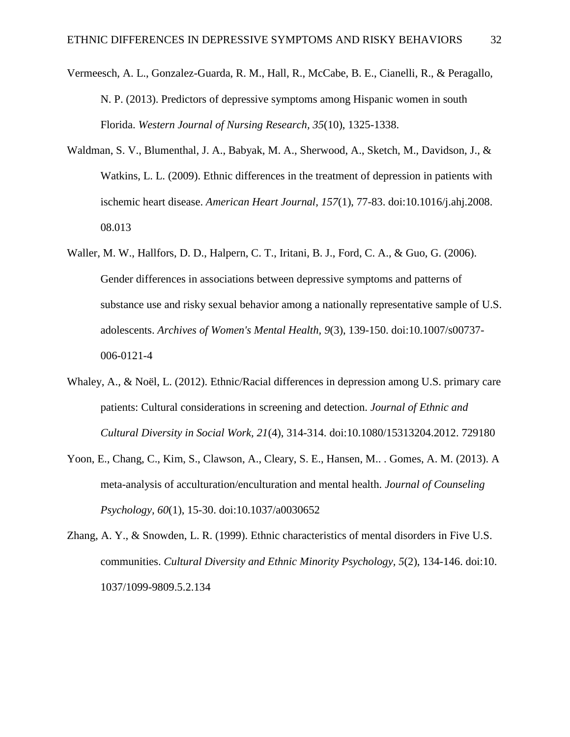- Vermeesch, A. L., Gonzalez-Guarda, R. M., Hall, R., McCabe, B. E., Cianelli, R., & Peragallo, N. P. (2013). Predictors of depressive symptoms among Hispanic women in south Florida. *Western Journal of Nursing Research, 35*(10), 1325-1338.
- Waldman, S. V., Blumenthal, J. A., Babyak, M. A., Sherwood, A., Sketch, M., Davidson, J., & Watkins, L. L. (2009). Ethnic differences in the treatment of depression in patients with ischemic heart disease. *American Heart Journal, 157*(1), 77-83. doi:10.1016/j.ahj.2008. 08.013
- Waller, M. W., Hallfors, D. D., Halpern, C. T., Iritani, B. J., Ford, C. A., & Guo, G. (2006). Gender differences in associations between depressive symptoms and patterns of substance use and risky sexual behavior among a nationally representative sample of U.S. adolescents. *Archives of Women's Mental Health, 9*(3), 139-150. doi:10.1007/s00737- 006-0121-4
- Whaley, A., & Noël, L. (2012). Ethnic/Racial differences in depression among U.S. primary care patients: Cultural considerations in screening and detection. *Journal of Ethnic and Cultural Diversity in Social Work, 21*(4), 314-314. doi:10.1080/15313204.2012. 729180
- Yoon, E., Chang, C., Kim, S., Clawson, A., Cleary, S. E., Hansen, M.. . Gomes, A. M. (2013). A meta-analysis of acculturation/enculturation and mental health. *Journal of Counseling Psychology, 60*(1), 15-30. doi:10.1037/a0030652
- Zhang, A. Y., & Snowden, L. R. (1999). Ethnic characteristics of mental disorders in Five U.S. communities. *Cultural Diversity and Ethnic Minority Psychology, 5*(2), 134-146. doi:10. 1037/1099-9809.5.2.134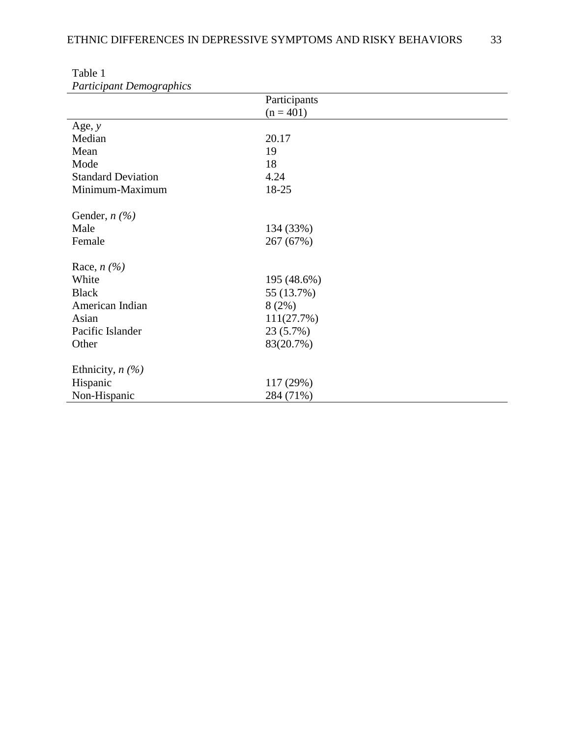| <i>i arriciparii</i> Denio gruphics |              |
|-------------------------------------|--------------|
|                                     | Participants |
|                                     | $(n = 401)$  |
| Age, $y$                            |              |
| Median                              | 20.17        |
| Mean                                | 19           |
| Mode                                | 18           |
| <b>Standard Deviation</b>           | 4.24         |
| Minimum-Maximum                     | 18-25        |
|                                     |              |
| Gender, $n(\%)$                     |              |
| Male                                | 134 (33%)    |
| Female                              | 267 (67%)    |
|                                     |              |
| Race, $n$ (%)                       |              |
| White                               | 195 (48.6%)  |
| <b>Black</b>                        | 55 (13.7%)   |
| American Indian                     | 8(2%)        |
| Asian                               | 111(27.7%)   |
| Pacific Islander                    | 23 (5.7%)    |
| Other                               | 83(20.7%)    |
|                                     |              |
| Ethnicity, $n$ (%)                  |              |
| Hispanic                            | 117 (29%)    |
| Non-Hispanic                        | 284 (71%)    |

Table 1 *Participant Demographics*